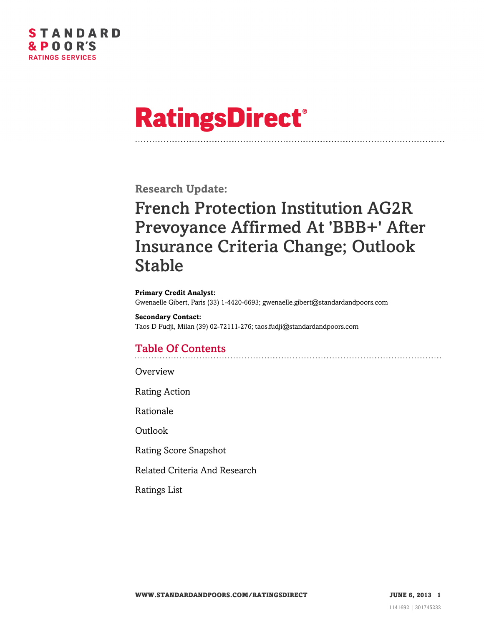

# **RatingsDirect®**

**Research Update:**

# French Protection Institution AG2R Prevoyance Affirmed At 'BBB+' After Insurance Criteria Change; Outlook Stable

#### **Primary Credit Analyst:**

Gwenaelle Gibert, Paris (33) 1-4420-6693; gwenaelle.gibert@standardandpoors.com

#### **Secondary Contact:** Taos D Fudji, Milan (39) 02-72111-276; taos.fudji@standardandpoors.com

# Table Of Contents

**[Overview](#page-1-0)** 

[Rating Action](#page-1-1)

[Rationale](#page-1-2)

[Outlook](#page-3-0)

[Rating Score Snapshot](#page-4-0)

[Related Criteria And Research](#page-4-1)

[Ratings List](#page-5-0)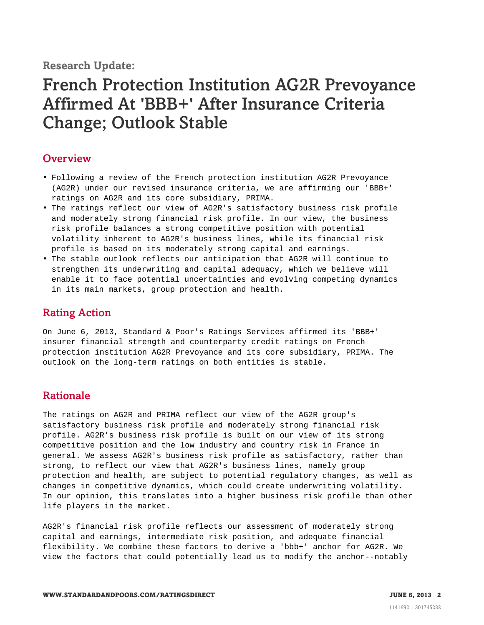**Research Update:**

# French Protection Institution AG2R Prevoyance Affirmed At 'BBB+' After Insurance Criteria Change; Outlook Stable

### <span id="page-1-0"></span>**Overview**

- Following a review of the French protection institution AG2R Prevoyance (AG2R) under our revised insurance criteria, we are affirming our 'BBB+' ratings on AG2R and its core subsidiary, PRIMA.
- The ratings reflect our view of AG2R's satisfactory business risk profile and moderately strong financial risk profile. In our view, the business risk profile balances a strong competitive position with potential volatility inherent to AG2R's business lines, while its financial risk profile is based on its moderately strong capital and earnings.
- The stable outlook reflects our anticipation that AG2R will continue to strengthen its underwriting and capital adequacy, which we believe will enable it to face potential uncertainties and evolving competing dynamics in its main markets, group protection and health.

## <span id="page-1-1"></span>Rating Action

On June 6, 2013, Standard & Poor's Ratings Services affirmed its 'BBB+' insurer financial strength and counterparty credit ratings on French protection institution AG2R Prevoyance and its core subsidiary, PRIMA. The outlook on the long-term ratings on both entities is stable.

### <span id="page-1-2"></span>Rationale

The ratings on AG2R and PRIMA reflect our view of the AG2R group's satisfactory business risk profile and moderately strong financial risk profile. AG2R's business risk profile is built on our view of its strong competitive position and the low industry and country risk in France in general. We assess AG2R's business risk profile as satisfactory, rather than strong, to reflect our view that AG2R's business lines, namely group protection and health, are subject to potential regulatory changes, as well as changes in competitive dynamics, which could create underwriting volatility. In our opinion, this translates into a higher business risk profile than other life players in the market.

AG2R's financial risk profile reflects our assessment of moderately strong capital and earnings, intermediate risk position, and adequate financial flexibility. We combine these factors to derive a 'bbb+' anchor for AG2R. We view the factors that could potentially lead us to modify the anchor--notably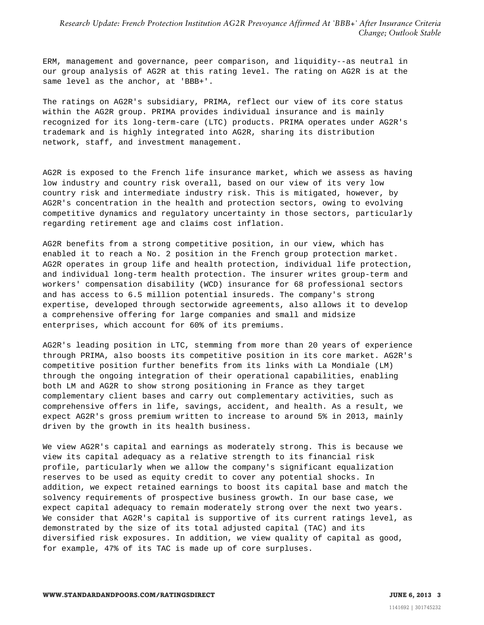*Research Update: French Protection Institution AG2R Prevoyance Affirmed At 'BBB+' After Insurance Criteria Change; Outlook Stable*

ERM, management and governance, peer comparison, and liquidity--as neutral in our group analysis of AG2R at this rating level. The rating on AG2R is at the same level as the anchor, at 'BBB+'.

The ratings on AG2R's subsidiary, PRIMA, reflect our view of its core status within the AG2R group. PRIMA provides individual insurance and is mainly recognized for its long-term-care (LTC) products. PRIMA operates under AG2R's trademark and is highly integrated into AG2R, sharing its distribution network, staff, and investment management.

AG2R is exposed to the French life insurance market, which we assess as having low industry and country risk overall, based on our view of its very low country risk and intermediate industry risk. This is mitigated, however, by AG2R's concentration in the health and protection sectors, owing to evolving competitive dynamics and regulatory uncertainty in those sectors, particularly regarding retirement age and claims cost inflation.

AG2R benefits from a strong competitive position, in our view, which has enabled it to reach a No. 2 position in the French group protection market. AG2R operates in group life and health protection, individual life protection, and individual long-term health protection. The insurer writes group-term and workers' compensation disability (WCD) insurance for 68 professional sectors and has access to 6.5 million potential insureds. The company's strong expertise, developed through sectorwide agreements, also allows it to develop a comprehensive offering for large companies and small and midsize enterprises, which account for 60% of its premiums.

AG2R's leading position in LTC, stemming from more than 20 years of experience through PRIMA, also boosts its competitive position in its core market. AG2R's competitive position further benefits from its links with La Mondiale (LM) through the ongoing integration of their operational capabilities, enabling both LM and AG2R to show strong positioning in France as they target complementary client bases and carry out complementary activities, such as comprehensive offers in life, savings, accident, and health. As a result, we expect AG2R's gross premium written to increase to around 5% in 2013, mainly driven by the growth in its health business.

We view AG2R's capital and earnings as moderately strong. This is because we view its capital adequacy as a relative strength to its financial risk profile, particularly when we allow the company's significant equalization reserves to be used as equity credit to cover any potential shocks. In addition, we expect retained earnings to boost its capital base and match the solvency requirements of prospective business growth. In our base case, we expect capital adequacy to remain moderately strong over the next two years. We consider that AG2R's capital is supportive of its current ratings level, as demonstrated by the size of its total adjusted capital (TAC) and its diversified risk exposures. In addition, we view quality of capital as good, for example, 47% of its TAC is made up of core surpluses.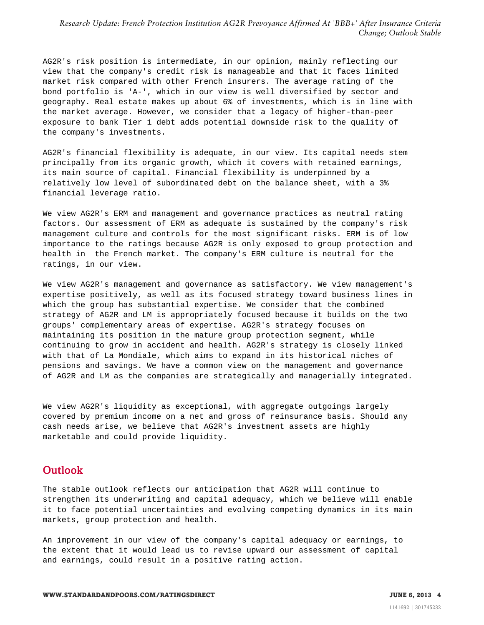*Research Update: French Protection Institution AG2R Prevoyance Affirmed At 'BBB+' After Insurance Criteria Change; Outlook Stable*

AG2R's risk position is intermediate, in our opinion, mainly reflecting our view that the company's credit risk is manageable and that it faces limited market risk compared with other French insurers. The average rating of the bond portfolio is 'A-', which in our view is well diversified by sector and geography. Real estate makes up about 6% of investments, which is in line with the market average. However, we consider that a legacy of higher-than-peer exposure to bank Tier 1 debt adds potential downside risk to the quality of the company's investments.

AG2R's financial flexibility is adequate, in our view. Its capital needs stem principally from its organic growth, which it covers with retained earnings, its main source of capital. Financial flexibility is underpinned by a relatively low level of subordinated debt on the balance sheet, with a 3% financial leverage ratio.

We view AG2R's ERM and management and governance practices as neutral rating factors. Our assessment of ERM as adequate is sustained by the company's risk management culture and controls for the most significant risks. ERM is of low importance to the ratings because AG2R is only exposed to group protection and health in the French market. The company's ERM culture is neutral for the ratings, in our view.

We view AG2R's management and governance as satisfactory. We view management's expertise positively, as well as its focused strategy toward business lines in which the group has substantial expertise. We consider that the combined strategy of AG2R and LM is appropriately focused because it builds on the two groups' complementary areas of expertise. AG2R's strategy focuses on maintaining its position in the mature group protection segment, while continuing to grow in accident and health. AG2R's strategy is closely linked with that of La Mondiale, which aims to expand in its historical niches of pensions and savings. We have a common view on the management and governance of AG2R and LM as the companies are strategically and managerially integrated.

We view AG2R's liquidity as exceptional, with aggregate outgoings largely covered by premium income on a net and gross of reinsurance basis. Should any cash needs arise, we believe that AG2R's investment assets are highly marketable and could provide liquidity.

#### <span id="page-3-0"></span>**Outlook**

The stable outlook reflects our anticipation that AG2R will continue to strengthen its underwriting and capital adequacy, which we believe will enable it to face potential uncertainties and evolving competing dynamics in its main markets, group protection and health.

An improvement in our view of the company's capital adequacy or earnings, to the extent that it would lead us to revise upward our assessment of capital and earnings, could result in a positive rating action.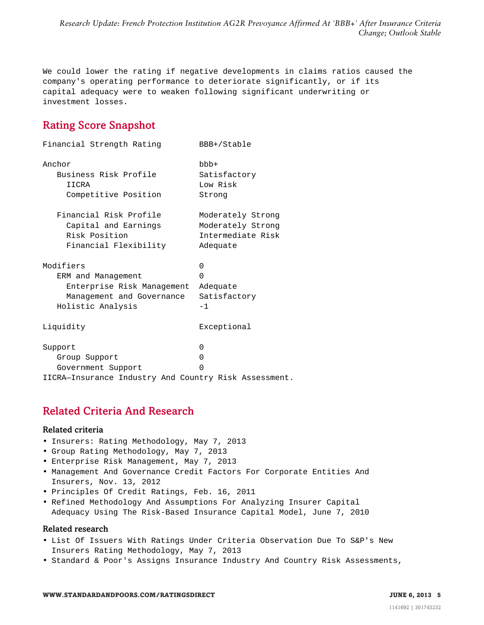*Research Update: French Protection Institution AG2R Prevoyance Affirmed At 'BBB+' After Insurance Criteria Change; Outlook Stable*

We could lower the rating if negative developments in claims ratios caused the company's operating performance to deteriorate significantly, or if its capital adequacy were to weaken following significant underwriting or investment losses.

# <span id="page-4-0"></span>Rating Score Snapshot

| Financial Strength Rating                             | BBB+/Stable       |
|-------------------------------------------------------|-------------------|
| Anchor                                                | $bbb +$           |
| Business Risk Profile                                 | Satisfactory      |
| IICRA                                                 | Low Risk          |
| Competitive Position                                  | Strong            |
| Financial Risk Profile                                | Moderately Strong |
| Capital and Earnings                                  | Moderately Strong |
| Risk Position                                         | Intermediate Risk |
| Financial Flexibility                                 | Adequate          |
| Modifiers                                             | $\Omega$          |
| ERM and Management                                    | $\Omega$          |
| Enterprise Risk Management                            | Adequate          |
| Management and Governance                             | Satisfactory      |
| Holistic Analysis                                     | $-1$              |
| Liquidity                                             | Exceptional       |
| Support                                               | $\Omega$          |
| Group Support                                         | 0                 |
| Government Support                                    | $\Omega$          |
| IICRA-Insurance Industry And Country Risk Assessment. |                   |

## <span id="page-4-1"></span>Related Criteria And Research

#### Related criteria

- Insurers: Rating Methodology, May 7, 2013
- Group Rating Methodology, May 7, 2013
- Enterprise Risk Management, May 7, 2013
- Management And Governance Credit Factors For Corporate Entities And Insurers, Nov. 13, 2012
- Principles Of Credit Ratings, Feb. 16, 2011
- Refined Methodology And Assumptions For Analyzing Insurer Capital Adequacy Using The Risk-Based Insurance Capital Model, June 7, 2010

#### Related research

- List Of Issuers With Ratings Under Criteria Observation Due To S&P's New Insurers Rating Methodology, May 7, 2013
- Standard & Poor's Assigns Insurance Industry And Country Risk Assessments,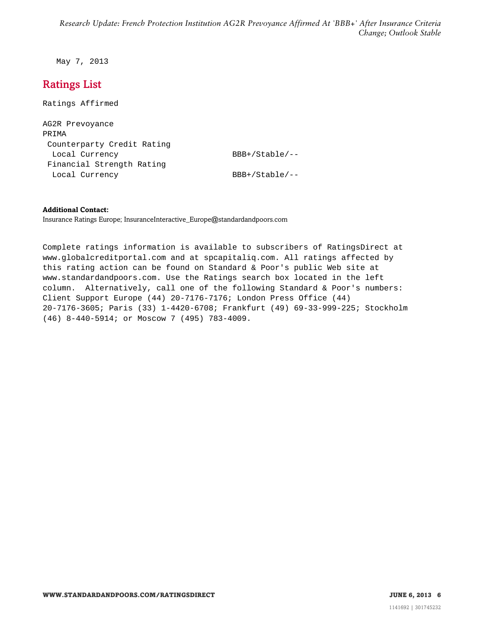May 7, 2013

# <span id="page-5-0"></span>Ratings List

Ratings Affirmed

AG2R Prevoyance PRIMA Counterparty Credit Rating Local Currency BBB+/Stable/--Financial Strength Rating Local Currency BBB+/Stable/--

#### **Additional Contact:**

Insurance Ratings Europe; InsuranceInteractive\_Europe@standardandpoors.com

Complete ratings information is available to subscribers of RatingsDirect at www.globalcreditportal.com and at spcapitaliq.com. All ratings affected by this rating action can be found on Standard & Poor's public Web site at www.standardandpoors.com. Use the Ratings search box located in the left column. Alternatively, call one of the following Standard & Poor's numbers: Client Support Europe (44) 20-7176-7176; London Press Office (44) 20-7176-3605; Paris (33) 1-4420-6708; Frankfurt (49) 69-33-999-225; Stockholm (46) 8-440-5914; or Moscow 7 (495) 783-4009.